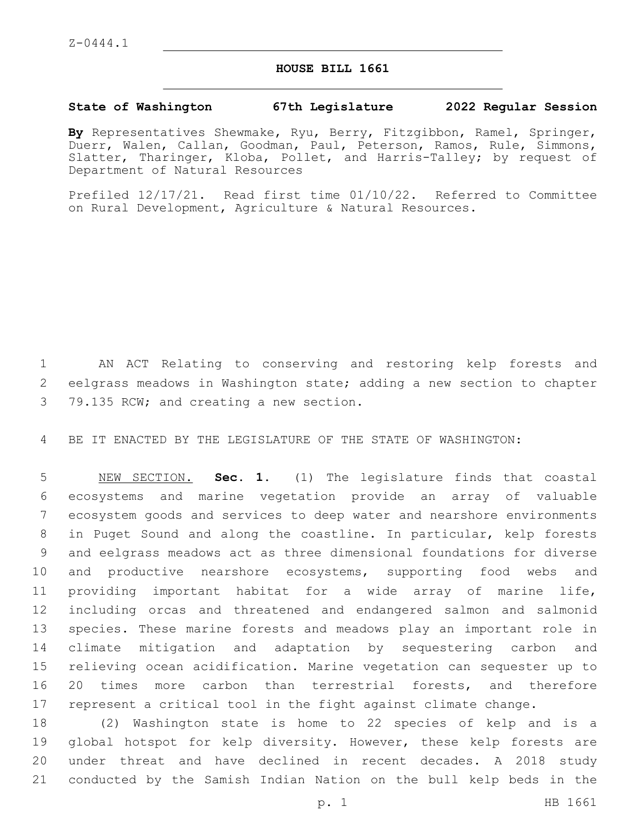## **HOUSE BILL 1661**

## **State of Washington 67th Legislature 2022 Regular Session**

**By** Representatives Shewmake, Ryu, Berry, Fitzgibbon, Ramel, Springer, Duerr, Walen, Callan, Goodman, Paul, Peterson, Ramos, Rule, Simmons, Slatter, Tharinger, Kloba, Pollet, and Harris-Talley; by request of Department of Natural Resources

Prefiled 12/17/21. Read first time 01/10/22. Referred to Committee on Rural Development, Agriculture & Natural Resources.

 AN ACT Relating to conserving and restoring kelp forests and eelgrass meadows in Washington state; adding a new section to chapter 3 79.135 RCW; and creating a new section.

BE IT ENACTED BY THE LEGISLATURE OF THE STATE OF WASHINGTON:

 NEW SECTION. **Sec. 1.** (1) The legislature finds that coastal ecosystems and marine vegetation provide an array of valuable ecosystem goods and services to deep water and nearshore environments in Puget Sound and along the coastline. In particular, kelp forests and eelgrass meadows act as three dimensional foundations for diverse and productive nearshore ecosystems, supporting food webs and providing important habitat for a wide array of marine life, including orcas and threatened and endangered salmon and salmonid species. These marine forests and meadows play an important role in climate mitigation and adaptation by sequestering carbon and relieving ocean acidification. Marine vegetation can sequester up to 20 times more carbon than terrestrial forests, and therefore represent a critical tool in the fight against climate change.

 (2) Washington state is home to 22 species of kelp and is a 19 global hotspot for kelp diversity. However, these kelp forests are under threat and have declined in recent decades. A 2018 study conducted by the Samish Indian Nation on the bull kelp beds in the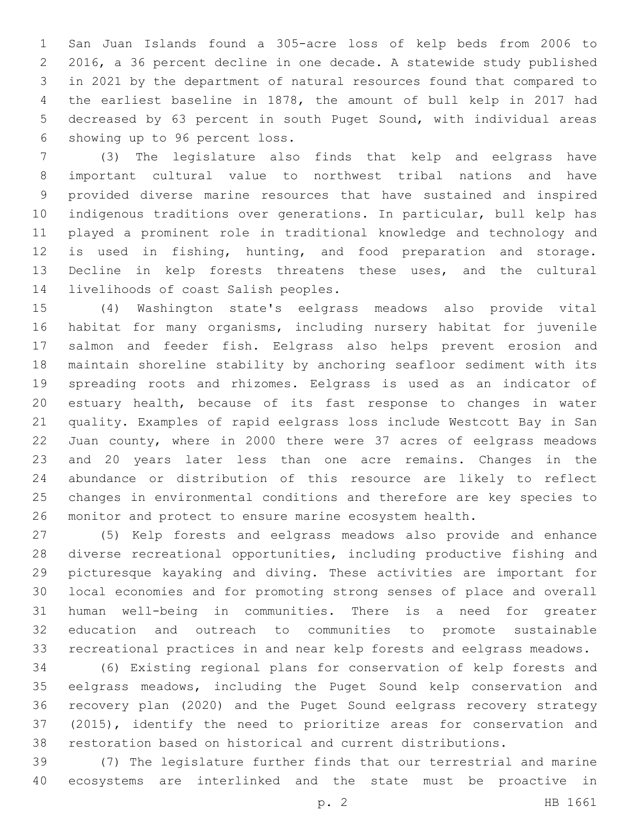San Juan Islands found a 305-acre loss of kelp beds from 2006 to 2016, a 36 percent decline in one decade. A statewide study published in 2021 by the department of natural resources found that compared to the earliest baseline in 1878, the amount of bull kelp in 2017 had decreased by 63 percent in south Puget Sound, with individual areas 6 showing up to 96 percent loss.

 (3) The legislature also finds that kelp and eelgrass have important cultural value to northwest tribal nations and have provided diverse marine resources that have sustained and inspired indigenous traditions over generations. In particular, bull kelp has played a prominent role in traditional knowledge and technology and is used in fishing, hunting, and food preparation and storage. Decline in kelp forests threatens these uses, and the cultural 14 livelihoods of coast Salish peoples.

 (4) Washington state's eelgrass meadows also provide vital habitat for many organisms, including nursery habitat for juvenile salmon and feeder fish. Eelgrass also helps prevent erosion and maintain shoreline stability by anchoring seafloor sediment with its spreading roots and rhizomes. Eelgrass is used as an indicator of estuary health, because of its fast response to changes in water quality. Examples of rapid eelgrass loss include Westcott Bay in San Juan county, where in 2000 there were 37 acres of eelgrass meadows and 20 years later less than one acre remains. Changes in the abundance or distribution of this resource are likely to reflect changes in environmental conditions and therefore are key species to monitor and protect to ensure marine ecosystem health.

 (5) Kelp forests and eelgrass meadows also provide and enhance diverse recreational opportunities, including productive fishing and picturesque kayaking and diving. These activities are important for local economies and for promoting strong senses of place and overall human well-being in communities. There is a need for greater education and outreach to communities to promote sustainable recreational practices in and near kelp forests and eelgrass meadows.

 (6) Existing regional plans for conservation of kelp forests and eelgrass meadows, including the Puget Sound kelp conservation and recovery plan (2020) and the Puget Sound eelgrass recovery strategy (2015), identify the need to prioritize areas for conservation and restoration based on historical and current distributions.

 (7) The legislature further finds that our terrestrial and marine ecosystems are interlinked and the state must be proactive in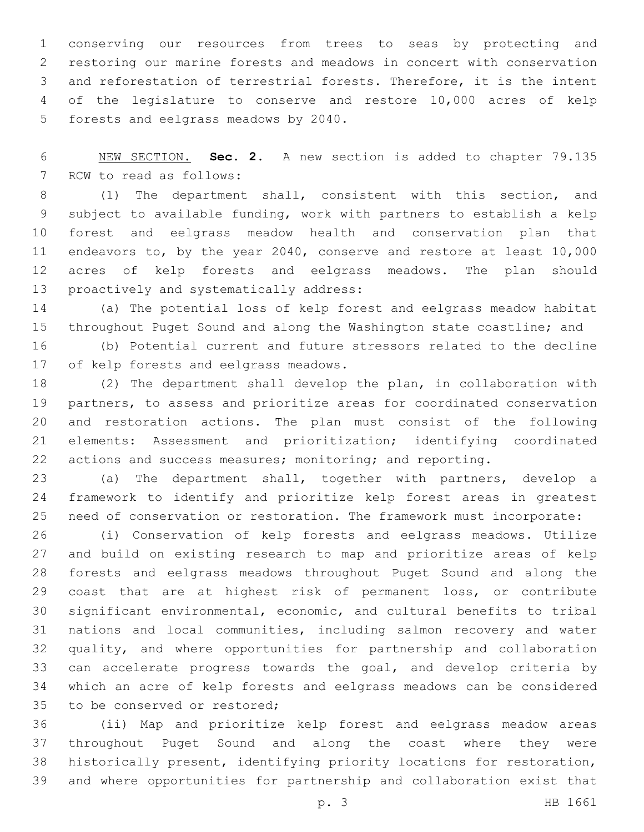conserving our resources from trees to seas by protecting and restoring our marine forests and meadows in concert with conservation and reforestation of terrestrial forests. Therefore, it is the intent of the legislature to conserve and restore 10,000 acres of kelp 5 forests and eelgrass meadows by 2040.

 NEW SECTION. **Sec. 2.** A new section is added to chapter 79.135 7 RCW to read as follows:

 (1) The department shall, consistent with this section, and subject to available funding, work with partners to establish a kelp forest and eelgrass meadow health and conservation plan that endeavors to, by the year 2040, conserve and restore at least 10,000 acres of kelp forests and eelgrass meadows. The plan should 13 proactively and systematically address:

 (a) The potential loss of kelp forest and eelgrass meadow habitat throughout Puget Sound and along the Washington state coastline; and

 (b) Potential current and future stressors related to the decline 17 of kelp forests and eelgrass meadows.

 (2) The department shall develop the plan, in collaboration with partners, to assess and prioritize areas for coordinated conservation and restoration actions. The plan must consist of the following elements: Assessment and prioritization; identifying coordinated actions and success measures; monitoring; and reporting.

 (a) The department shall, together with partners, develop a framework to identify and prioritize kelp forest areas in greatest need of conservation or restoration. The framework must incorporate:

 (i) Conservation of kelp forests and eelgrass meadows. Utilize and build on existing research to map and prioritize areas of kelp forests and eelgrass meadows throughout Puget Sound and along the coast that are at highest risk of permanent loss, or contribute significant environmental, economic, and cultural benefits to tribal nations and local communities, including salmon recovery and water quality, and where opportunities for partnership and collaboration can accelerate progress towards the goal, and develop criteria by which an acre of kelp forests and eelgrass meadows can be considered 35 to be conserved or restored;

 (ii) Map and prioritize kelp forest and eelgrass meadow areas throughout Puget Sound and along the coast where they were historically present, identifying priority locations for restoration, and where opportunities for partnership and collaboration exist that

p. 3 HB 1661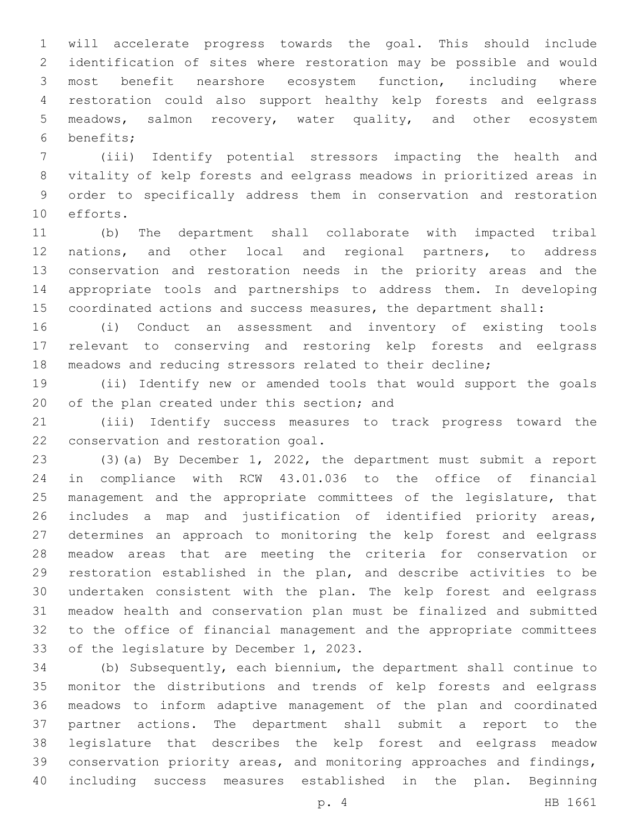will accelerate progress towards the goal. This should include identification of sites where restoration may be possible and would most benefit nearshore ecosystem function, including where restoration could also support healthy kelp forests and eelgrass meadows, salmon recovery, water quality, and other ecosystem benefits;6

 (iii) Identify potential stressors impacting the health and vitality of kelp forests and eelgrass meadows in prioritized areas in order to specifically address them in conservation and restoration 10 efforts.

 (b) The department shall collaborate with impacted tribal nations, and other local and regional partners, to address conservation and restoration needs in the priority areas and the appropriate tools and partnerships to address them. In developing coordinated actions and success measures, the department shall:

 (i) Conduct an assessment and inventory of existing tools relevant to conserving and restoring kelp forests and eelgrass meadows and reducing stressors related to their decline;

 (ii) Identify new or amended tools that would support the goals 20 of the plan created under this section; and

 (iii) Identify success measures to track progress toward the 22 conservation and restoration goal.

 (3)(a) By December 1, 2022, the department must submit a report in compliance with RCW 43.01.036 to the office of financial 25 management and the appropriate committees of the legislature, that includes a map and justification of identified priority areas, determines an approach to monitoring the kelp forest and eelgrass meadow areas that are meeting the criteria for conservation or restoration established in the plan, and describe activities to be undertaken consistent with the plan. The kelp forest and eelgrass meadow health and conservation plan must be finalized and submitted to the office of financial management and the appropriate committees 33 of the legislature by December 1, 2023.

 (b) Subsequently, each biennium, the department shall continue to monitor the distributions and trends of kelp forests and eelgrass meadows to inform adaptive management of the plan and coordinated partner actions. The department shall submit a report to the legislature that describes the kelp forest and eelgrass meadow conservation priority areas, and monitoring approaches and findings, including success measures established in the plan. Beginning

p. 4 HB 1661